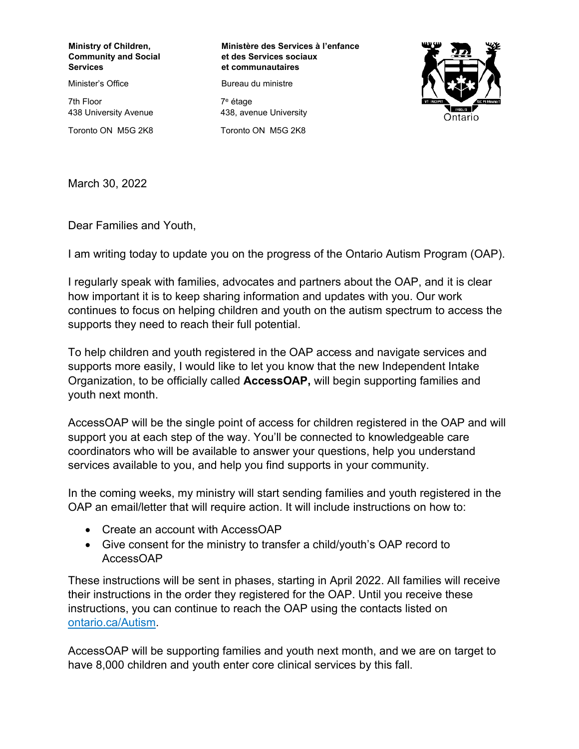## **Ministry of Children, Community and Social Services**

Minister's Office

7th Floor 438 University Avenue Toronto ON M5G 2K8 **Ministère des Services à l'enfance et des Services sociaux et communautaires**

Bureau du ministre

7 <sup>e</sup> étage 438, avenue University Toronto ON M5G 2K8



March 30, 2022 **Téléce. :416 325-5240** 

Dear Families and Youth,

I am writing today to update you on the progress of the Ontario Autism Program (OAP).

I regularly speak with families, advocates and partners about the OAP, and it is clear how important it is to keep sharing information and updates with you. Our work continues to focus on helping children and youth on the autism spectrum to access the supports they need to reach their full potential.

To help children and youth registered in the OAP access and navigate services and supports more easily, I would like to let you know that the new Independent Intake Organization, to be officially called **AccessOAP,** will begin supporting families and youth next month.

AccessOAP will be the single point of access for children registered in the OAP and will support you at each step of the way. You'll be connected to knowledgeable care coordinators who will be available to answer your questions, help you understand services available to you, and help you find supports in your community.

In the coming weeks, my ministry will start sending families and youth registered in the OAP an email/letter that will require action. It will include instructions on how to:

- Create an account with AccessOAP
- Give consent for the ministry to transfer a child/youth's OAP record to AccessOAP

These instructions will be sent in phases, starting in April 2022. All families will receive their instructions in the order they registered for the OAP. Until you receive these instructions, you can continue to reach the OAP using the contacts listed on [ontario.ca/Autism.](http://www.ontario.ca/Autism)

AccessOAP will be supporting families and youth next month, and we are on target to have 8,000 children and youth enter core clinical services by this fall.